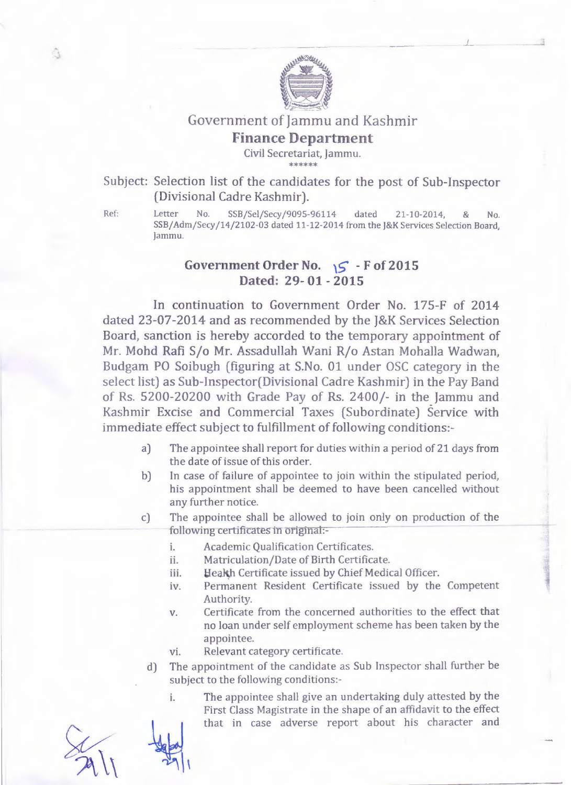

## Government of Jammu and Kashmir

## Finance Department

Civil Secretariat, Jammu. \*\*\*\*\*\*

Subject: Selection list of the candidates for the post of Sub-Inspector (Divisional Cadre Kashmir).

û

Ref: Letter No. SSB/Sel/Secy/909S-96114 dated 21-10-2014, & No, SSB/AdmjSecy/14/2102-03 dated 11-12-2014 from the J&K Services Selection Board, Jammu.

## Government Order No.  $\sqrt{5}$  - F of 2015 Dated: 29- 01 - 2015

In continuation to Government Order No. 175-F of 2014 dated 23-07-2014 and as recommended by the J&K Services Selection Board, sanction is hereby accorded to the temporary appointment of Mr. Mohd Rafi S/o Mr. Assadullah Wani R/o Astan Mohalla Wadwan, Budgam PO Soibugh (figuring at S.No. 01 under OSC category in the select list) as Sub- Inspector(Divisional Cadre Kashmir) in the Pay Band of Rs. 5200-20200 with Grade Pay of Rs. 2400/- in the Jammu and Kashmir Excise and Commercial Taxes (Subordinate) Service with immediate effect subject to fulfillment of following conditions:-

- a) The appointee shall report for duties within a period of 21 days from the date of issue of this order.
- b) In case of failure of appointee to join within the stipulated period, his appointment shall be deemed to *have* been cancelled without any further notice.
- The appointee shall be allowed to join only on production of the following certificates in origina:- c)
	- i. Academic Qualification Certificates.
	- ii. Matriculation/Date of Birth Certificate.
	- iii. Heakh Certificate issued by Chief Medical Officer.
	- *iv.* Permanent Resident Certificate issued by the Competent Authority.
	- Certificate from the concerned authorities to the effect that no loan under self employment scheme has been taken by the appointee. *v.*
	- vi. Relevant category certificate.
	- d) The appointment of the candidate as Sub Inspector shall further be subject to the following conditions:
		- i. The appointee shall *give* an undertaking duly attested by the First Class Magistrate in the shape of an affidavit to the effect that in case *adverse* report about his character and

 $-2911$